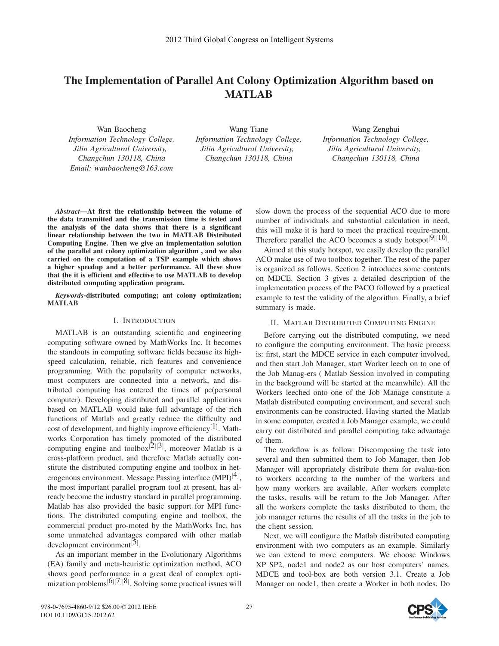# The Implementation of Parallel Ant Colony Optimization Algorithm based on MATLAB

Wan Baocheng *Information Technology College,* Changchun 130118, China *Email: wanbaocheng@163.com Email: wanbaocheng@163.com*

Wang Tiane *Information Technology College, Changchun 130118, China Changchun 130118, China*

Wang Zenghui *Information Technology College,* Changchun 130118, China *Changchun 130118, China*

*Abstract*—At first the relationship between the volume of the data transmitted and the transmission time is tested and the analysis of the data shows that there is a significant linear relationship between the two in MATLAB Distributed Computing Engine. Then we give an implementation solution of the parallel ant colony optimization algorithm , and we also carried on the computation of a TSP example which shows a higher speedup and a better performance. All these show that the it is efficient and effective to use MATLAB to develop distributed computing application program.

*Keywords*-distributed computing; ant colony optimization; MATLAB

# I. INTRODUCTION

MATLAB is an outstanding scientific and engineering computing software owned by MathWorks Inc. It becomes the standouts in computing software fields because its highspeed calculation, reliable, rich features and convenience programming. With the popularity of computer networks, most computers are connected into a network, and distributed computing has entered the times of pc(personal computer). Developing distributed and parallel applications based on MATLAB would take full advantage of the rich functions of Matlab and greatly reduce the difficulty and cost of development, and highly improve efficiency<sup>[1]</sup>. Mathworks Corporation has timely promoted of the distributed computing engine and toolbox $^{[2][3]}$ , moreover Matlab is a cross-platform product, and therefore Matlab actually constitute the distributed computing engine and toolbox in heterogenous environment. Message Passing interface  $(MPI)^{[4]}$ , the most important parallel program tool at present, has already become the industry standard in parallel programming. Matlab has also provided the basic support for MPI functions. The distributed computing engine and toolbox, the commercial product pro-moted by the MathWorks Inc, has some unmatched advantages compared with other matlab development environment<sup>[5]</sup>.

As an important member in the Evolutionary Algorithms (EA) family and meta-heuristic optimization method, ACO shows good performance in a great deal of complex optimization problems<sup>[6]</sup>[7]<sup>[8]</sup>. Solving some practical issues will

slow down the process of the sequential ACO due to more number of individuals and substantial calculation in need, this will make it is hard to meet the practical require-ment. Therefore parallel the ACO becomes a study hotspot<sup>[9]</sup>[10].

Aimed at this study hotspot, we easily develop the parallel ACO make use of two toolbox together. The rest of the paper is organized as follows. Section 2 introduces some contents on MDCE. Section 3 gives a detailed description of the implementation process of the PACO followed by a practical example to test the validity of the algorithm. Finally, a brief summary is made.

# II. MATLAB DISTRIBUTED COMPUTING ENGINE

Before carrying out the distributed computing, we need to configure the computing environment. The basic process is: first, start the MDCE service in each computer involved, and then start Job Manager, start Worker leech on to one of the Job Manag-ers ( Matlab Session involved in computing in the background will be started at the meanwhile). All the Workers leeched onto one of the Job Manage constitute a Matlab distributed computing environment, and several such environments can be constructed. Having started the Matlab in some computer, created a Job Manager example, we could carry out distributed and parallel computing take advantage of them.

The workflow is as follow: Discomposing the task into several and then submitted them to Job Manager, then Job Manager will appropriately distribute them for evalua-tion to workers according to the number of the workers and how many workers are available. After workers complete the tasks, results will be return to the Job Manager. After all the workers complete the tasks distributed to them, the job manager returns the results of all the tasks in the job to the client session.

Next, we will configure the Matlab distributed computing environment with two computers as an example. Similarly we can extend to more computers. We choose Windows XP SP2, node1 and node2 as our host computers' names. MDCE and tool-box are both version 3.1. Create a Job Manager on node1, then create a Worker in both nodes. Do

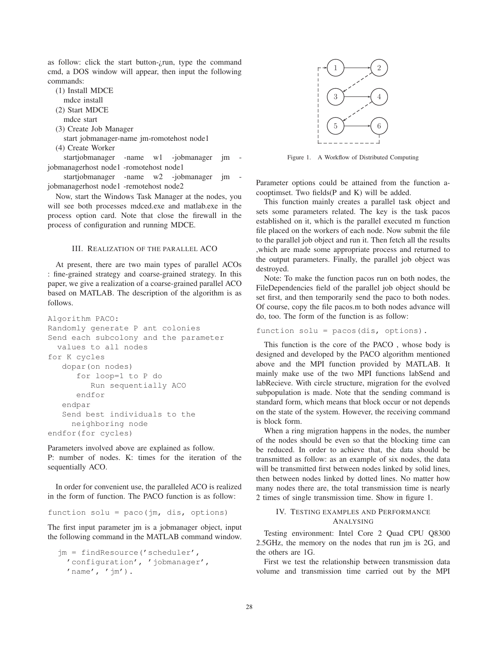as follow: click the start button- $\zeta$ run, type the command cmd, a DOS window will appear, then input the following commands:

- (1) Install MDCE
	- mdce install
- (2) Start MDCE
	- mdce start
- (3) Create Job Manager

start jobmanager-name jm-romotehost node1

(4) Create Worker

startjobmanager -name w1 -jobmanager jm jobmanagerhost node1 -romotehost node1

startjobmanager -name w2 -jobmanager jm jobmanagerhost node1 -remotehost node2

Now, start the Windows Task Manager at the nodes, you will see both processes mdced.exe and matlab.exe in the process option card. Note that close the firewall in the process of configuration and running MDCE.

### III. REALIZATION OF THE PARALLEL ACO

At present, there are two main types of parallel ACOs : fine-grained strategy and coarse-grained strategy. In this paper, we give a realization of a coarse-grained parallel ACO based on MATLAB. The description of the algorithm is as follows.

```
Algorithm PACO:
Randomly generate P ant colonies
Send each subcolony and the parameter
 values to all nodes
for K cycles
   dopar(on nodes)
      for loop=1 to P do
         Run sequentially ACO
      endfor
   endpar
   Send best individuals to the
     neighboring node
endfor(for cycles)
```
Parameters involved above are explained as follow. P: number of nodes. K: times for the iteration of the sequentially ACO.

In order for convenient use, the paralleled ACO is realized in the form of function. The PACO function is as follow:

function solu =  $pace(im, dis, options)$ 

The first input parameter jm is a jobmanager object, input the following command in the MATLAB command window.

```
jm = findResource('scheduler',
  'configuration', 'jobmanager',
  'name', '\mathfrak{m}').
```


Figure 1. A Workflow of Distributed Computing

Parameter options could be attained from the function acooptimset. Two fields(P and K) will be added.

This function mainly creates a parallel task object and sets some parameters related. The key is the task pacos established on it, which is the parallel executed m function file placed on the workers of each node. Now submit the file to the parallel job object and run it. Then fetch all the results ,which are made some appropriate process and returned to the output parameters. Finally, the parallel job object was destroyed.

Note: To make the function pacos run on both nodes, the FileDependencies field of the parallel job object should be set first, and then temporarily send the paco to both nodes. Of course, copy the file pacos.m to both nodes advance will do, too. The form of the function is as follow:

```
function solu = pacos(dis, options).
```
This function is the core of the PACO , whose body is designed and developed by the PACO algorithm mentioned above and the MPI function provided by MATLAB. It mainly make use of the two MPI functions labSend and labRecieve. With circle structure, migration for the evolved subpopulation is made. Note that the sending command is standard form, which means that block occur or not depends on the state of the system. However, the receiving command is block form.

When a ring migration happens in the nodes, the number of the nodes should be even so that the blocking time can be reduced. In order to achieve that, the data should be transmitted as follow: as an example of six nodes, the data will be transmitted first between nodes linked by solid lines, then between nodes linked by dotted lines. No matter how many nodes there are, the total transmission time is nearly 2 times of single transmission time. Show in figure 1.

# IV. TESTING EXAMPLES AND PERFORMANCE ANALYSING

Testing environment: Intel Core 2 Quad CPU Q8300 2.5GHz, the memory on the nodes that run jm is 2G, and the others are 1G.

First we test the relationship between transmission data volume and transmission time carried out by the MPI